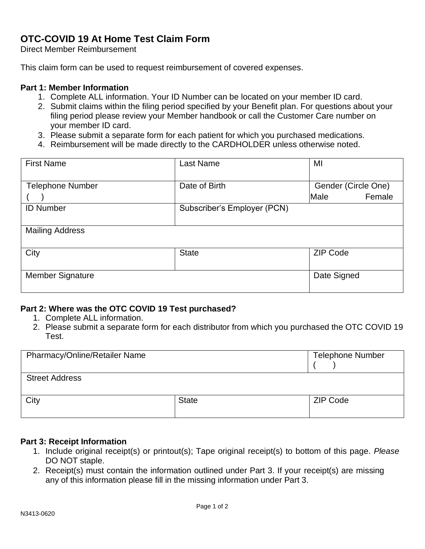# **OTC-COVID 19 At Home Test Claim Form**

Direct Member Reimbursement

This claim form can be used to request reimbursement of covered expenses.

### **Part 1: Member Information**

- 1. Complete ALL information. Your ID Number can be located on your member ID card.
- 2. Submit claims within the filing period specified by your Benefit plan. For questions about your filing period please review your Member handbook or call the Customer Care number on your member ID card.
- 3. Please submit a separate form for each patient for which you purchased medications.
- 4. Reimbursement will be made directly to the CARDHOLDER unless otherwise noted.

| <b>First Name</b>       | Last Name                   | MI                  |
|-------------------------|-----------------------------|---------------------|
|                         |                             |                     |
| <b>Telephone Number</b> | Date of Birth               | Gender (Circle One) |
|                         |                             | Male<br>Female      |
| <b>ID Number</b>        | Subscriber's Employer (PCN) |                     |
|                         |                             |                     |
| <b>Mailing Address</b>  |                             |                     |
|                         |                             |                     |
| City                    | <b>State</b>                | <b>ZIP Code</b>     |
|                         |                             |                     |
| <b>Member Signature</b> |                             | Date Signed         |
|                         |                             |                     |

### **Part 2: Where was the OTC COVID 19 Test purchased?**

- 1. Complete ALL information.
- 2. Please submit a separate form for each distributor from which you purchased the OTC COVID 19 Test.

| <b>Pharmacy/Online/Retailer Name</b> |              | <b>Telephone Number</b> |
|--------------------------------------|--------------|-------------------------|
| <b>Street Address</b>                |              |                         |
| City                                 | <b>State</b> | ZIP Code                |

#### **Part 3: Receipt Information**

- 1. Include original receipt(s) or printout(s); Tape original receipt(s) to bottom of this page. *Please*  DO NOT staple.
- 2. Receipt(s) must contain the information outlined under Part 3. If your receipt(s) are missing any of this information please fill in the missing information under Part 3.